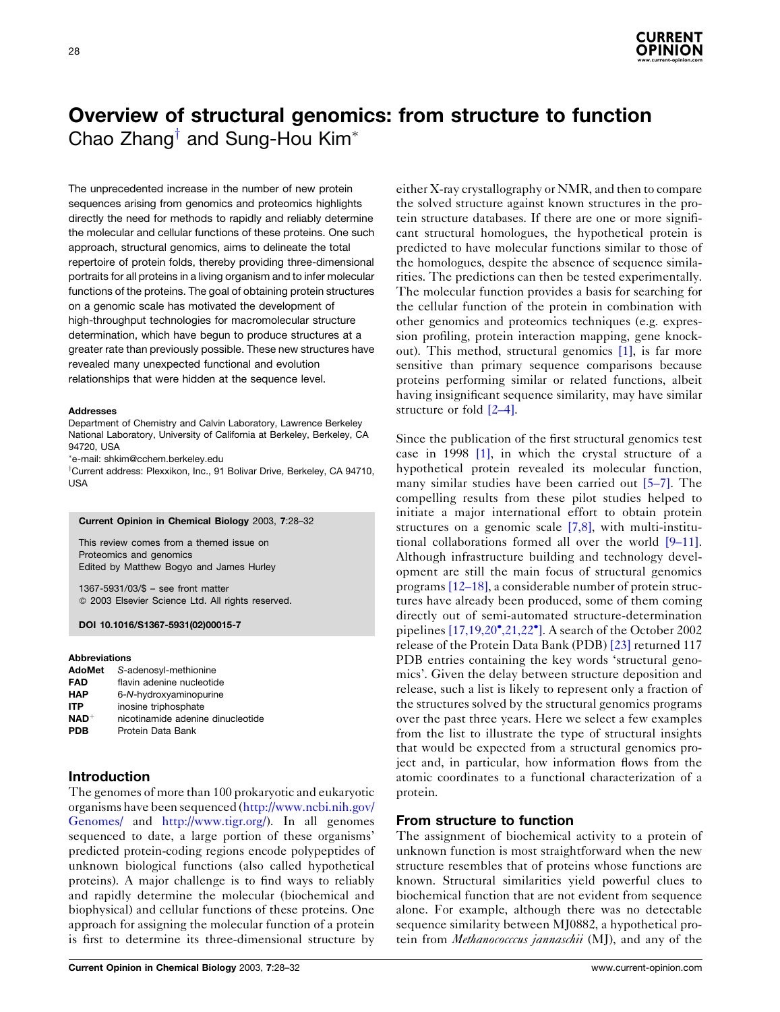

# <span id="page-0-0"></span>Overview of structural genomics: from structure to function Chao Zhang<sup>†</sup> and Sung-Hou Kim<sup>\*</sup>

The unprecedented increase in the number of new protein sequences arising from genomics and proteomics highlights directly the need for methods to rapidly and reliably determine the molecular and cellular functions of these proteins. One such approach, structural genomics, aims to delineate the total repertoire of protein folds, thereby providing three-dimensional portraits for all proteins in a living organism and to infer molecular functions of the proteins. The goal of obtaining protein structures on a genomic scale has motivated the development of high-throughput technologies for macromolecular structure determination, which have begun to produce structures at a greater rate than previously possible. These new structures have revealed many unexpected functional and evolution relationships that were hidden at the sequence level.

#### **Addresses**

Department of Chemistry and Calvin Laboratory, Lawrence Berkeley National Laboratory, University of California at Berkeley, Berkeley, CA 94720. USA

e-mail: shkim@cchem.berkeley.edu

<sup>†</sup>Current address: Plexxikon, Inc., 91 Bolivar Drive, Berkeley, CA 94710, USA

#### Current Opinion in Chemical Biology 2003, 7:28-32

This review comes from a themed issue on Proteomics and genomics Edited by Matthew Bogyo and James Hurley

 $1367-5931/03/\$$  – see front matter © 2003 Elsevier Science Ltd. All rights reserved.

## DOI 10.1016/S1367-5931(02)00015-7

# Ahhreviations

| nicotinamide adenine dinucleotide |
|-----------------------------------|
|                                   |
|                                   |

# **Introduction**

The genomes of more than 100 prokaryotic and eukaryotic organisms have been sequenced (http://www.ncbi.nih.gov/ Genomes/ and http://www.tigr.org/). In all genomes sequenced to date, a large portion of these organisms' predicted protein-coding regions encode polypeptides of unknown biological functions (also called hypothetical proteins). A major challenge is to find ways to reliably and rapidly determine the molecular (biochemical and biophysical) and cellular functions of these proteins. One approach for assigning the molecular function of a protein is first to determine its three-dimensional structure by

either X-ray crystallography or NMR, and then to compare the solved structure against known structures in the protein structure databases. If there are one or more significant structural homologues, the hypothetical protein is predicted to have molecular functions similar to those of the homologues, despite the absence of sequence similarities. The predictions can then be tested experimentally. The molecular function provides a basis for searching for the cellular function of the protein in combination with other genomics and proteomics techniques (e.g. expression profiling, protein interaction mapping, gene knockout). This method, structural genomics [1], is far more sensitive than primary sequence comparisons because proteins performing similar or related functions, albeit having insignificant sequence similarity, may have similar structure or fold  $[2-4]$ .

Since the publication of the first structural genomics test case in 1998 [1], in which the crystal structure of a hypothetical protein revealed its molecular function. many similar studies have been carried out  $[5-7]$ . The compelling results from these pilot studies helped to initiate a major international effort to obtain protein structures on a genomic scale  $[7,8]$ , with multi-institutional collaborations formed all over the world  $[9-11]$ . Although infrastructure building and technology development are still the main focus of structural genomics programs  $[12-18]$ , a considerable number of protein structures have already been produced, some of them coming directly out of semi-automated structure-determination pipelines  $[17,19,20^{\circ},21,22^{\circ}]$ . A search of the October 2002 release of the Protein Data Bank (PDB) [23] returned 117 PDB entries containing the key words 'structural genomics'. Given the delay between structure deposition and release, such a list is likely to represent only a fraction of the structures solved by the structural genomics programs over the past three years. Here we select a few examples from the list to illustrate the type of structural insights that would be expected from a structural genomics project and, in particular, how information flows from the atomic coordinates to a functional characterization of a protein.

# From structure to function

The assignment of biochemical activity to a protein of unknown function is most straightforward when the new structure resembles that of proteins whose functions are known. Structural similarities yield powerful clues to biochemical function that are not evident from sequence alone. For example, although there was no detectable sequence similarity between MJ0882, a hypothetical protein from Methanococccus jannaschii (MJ), and any of the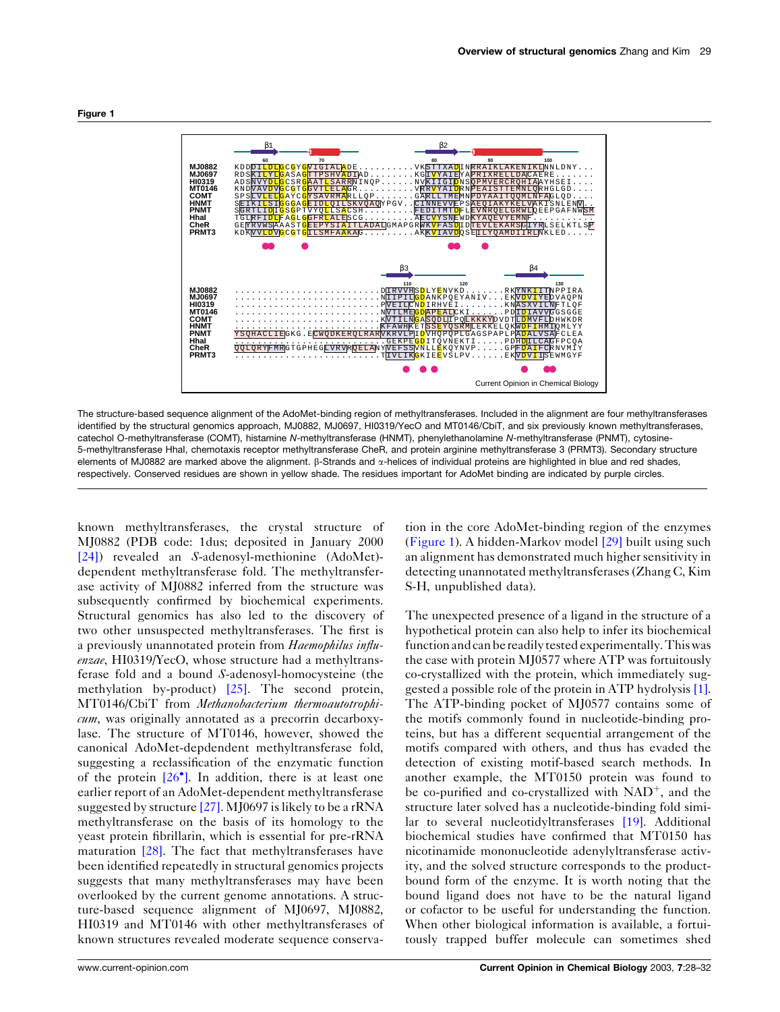

The structure-based sequence alignment of the AdoMet-binding region of methyltransferases. Included in the alignment are four methyltransferases identified by the structural genomics approach, MJ0882, MJ0697, HI0319/YecO and MT0146/CbiT, and six previously known methyltransferases, catechol O-methyltransferase (COMT), histamine N-methyltransferase (HNMT), phenylethanolamine N-methyltransferase (PNMT), cytosine-5-methyltransferase Hhal, chemotaxis receptor methyltransferase CheR, and protein arginine methyltransferase 3 (PRMT3). Secondary structure elements of MJ0882 are marked above the alignment. B-Strands and  $\alpha$ -helices of individual proteins are highlighted in blue and red shades, respectively. Conserved residues are shown in yellow shade. The residues important for AdoMet binding are indicated by purple circles.

known methyltransferases, the crystal structure of MJ0882 (PDB code: 1 dus; deposited in January 2000  $[24]$ ) revealed an S-adenosyl-methionine (AdoMet)dependent methyltransferase fold. The methyltransferase activity of MJ0882 inferred from the structure was subsequently confirmed by biochemical experiments. Structural genomics has also led to the discovery of two other unsuspected methyltransferases. The first is a previously unannotated protein from Haemophilus influenzae, HI0319/YecO, whose structure had a methyltransferase fold and a bound S-adenosyl-homocysteine (the methylation by-product)  $[25]$ . The second protein, MT0146/CbiT from Methanobacterium thermoautotrophi $cum$ , was originally annotated as a precorrin decarboxylase. The structure of MT0146, however, showed the canonical AdoMet-depdendent methyltransferase fold, suggesting a reclassification of the enzymatic function of the protein  $[26^{\circ}]$ . In addition, there is at least one earlier report of an AdoMet-dependent methyltransferase suggested by structure  $[27]$ . MJ0697 is likely to be a rRNA methyltransferase on the basis of its homology to the yeast protein fibrillarin, which is essential for pre-rRNA maturation  $[28]$ . The fact that methyltransferases have been identified repeatedly in structural genomics projects suggests that many methyltransferases may have been overlooked by the current genome annotations. A structure-based sequence alignment of MJ0697, MJ0882, HI0319 and MT0146 with other methyltransferases of known structures revealed moderate sequence conserva-

tion in the core AdoMet-binding region of the enzymes (Figure 1). A hidden-Markov model [29] built using such an alignment has demonstrated much higher sensitivity in detecting unannotated methyltransferases (Zhang C, Kim S-H, unpublished data).

The unexpected presence of a ligand in the structure of a hypothetical protein can also help to infer its biochemical function and can be readily tested experimentally. This was the case with protein MJ0577 where ATP was fortuitously co-crystallized with the protein, which immediately suggested a possible role of the protein in ATP hydrolysis [1]. The ATP-binding pocket of MJ0577 contains some of the motifs commonly found in nucleotide-binding proteins, but has a different sequential arrangement of the motifs compared with others, and thus has evaded the detection of existing motif-based search methods. In another example, the MT0150 protein was found to be co-purified and co-crystallized with  $NAD^+$ , and the structure later solved has a nucleotide-binding fold similar to several nucleotidyltransferases [19]. Additional biochemical studies have confirmed that MT0150 has nicotinamide mononucleotide adenylyltransferase activity, and the solved structure corresponds to the productbound form of the enzyme. It is worth noting that the bound ligand does not have to be the natural ligand or cofactor to be useful for understanding the function. When other biological information is available, a fortuitously trapped buffer molecule can sometimes shed

#### Figure 1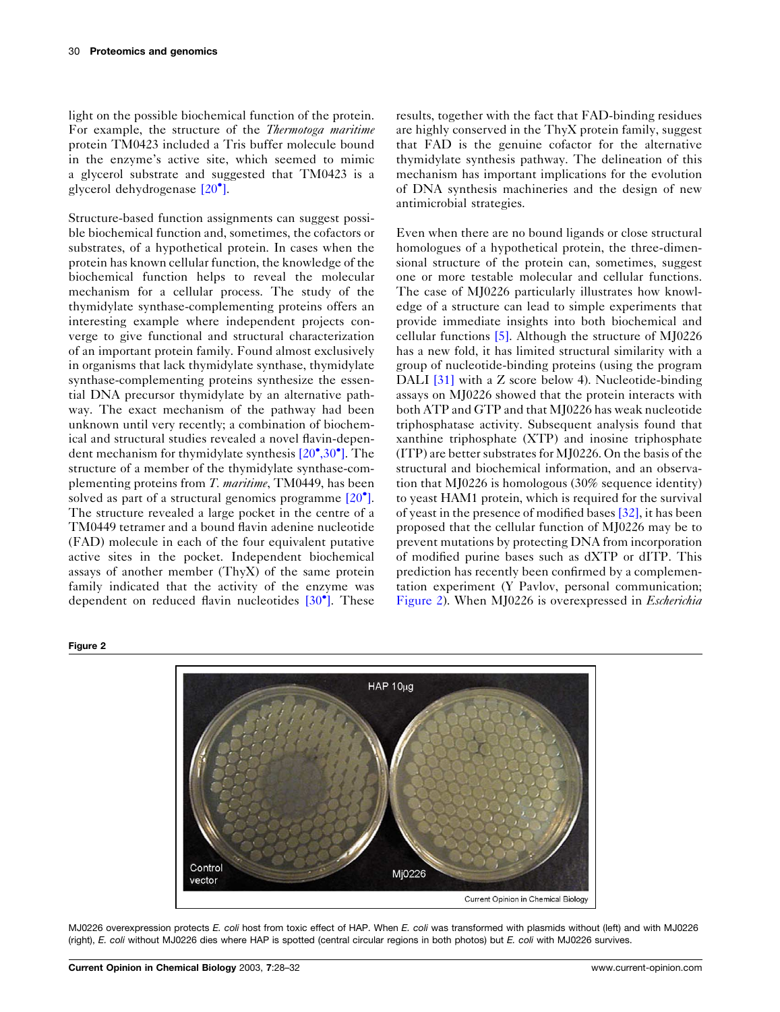<span id="page-2-0"></span>light on the possible biochemical function of the protein. For example, the structure of the *Thermotoga maritime* protein TM0423 included a Tris buffer molecule bound in the enzyme's active site, which seemed to mimic a glycerol substrate and suggested that TM0423 is a glycerol dehydrogenase  $[20^{\circ}]$ .

Structure-based function assignments can suggest possible biochemical function and, sometimes, the cofactors or substrates, of a hypothetical protein. In cases when the protein has known cellular function, the knowledge of the biochemical function helps to reveal the molecular mechanism for a cellular process. The study of the thymidylate synthase-complementing proteins offers an interesting example where independent projects converge to give functional and structural characterization of an important protein family. Found almost exclusively in organisms that lack thymidylate synthase, thymidylate synthase-complementing proteins synthesize the essential DNA precursor thymidylate by an alternative pathway. The exact mechanism of the pathway had been unknown until very recently; a combination of biochemical and structural studies revealed a novel flavin-dependent mechanism for thymidylate synthesis  $[20^{\circ}, 30^{\circ}]$ . The structure of a member of the thymidylate synthase-complementing proteins from T. maritime, TM0449, has been solved as part of a structural genomics programme  $[20^{\circ}]$ . The structure revealed a large pocket in the centre of a TM0449 tetramer and a bound flavin adenine nucleotide (FAD) molecule in each of the four equivalent putative active sites in the pocket. Independent biochemical assays of another member (ThyX) of the same protein family indicated that the activity of the enzyme was dependent on reduced flavin nucleotides  $[30^{\circ}]$ . These

results, together with the fact that FAD-binding residues are highly conserved in the ThyX protein family, suggest that FAD is the genuine cofactor for the alternative thymidylate synthesis pathway. The delineation of this mechanism has important implications for the evolution of DNA synthesis machineries and the design of new antimicrobial strategies.

Even when there are no bound ligands or close structural homologues of a hypothetical protein, the three-dimensional structure of the protein can, sometimes, suggest one or more testable molecular and cellular functions. The case of MJ0226 particularly illustrates how knowledge of a structure can lead to simple experiments that provide immediate insights into both biochemical and cellular functions  $[5]$ . Although the structure of MJ0226 has a new fold, it has limited structural similarity with a group of nucleotide-binding proteins (using the program DALI  $[31]$  with a Z score below 4). Nucleotide-binding assays on MJ0226 showed that the protein interacts with both ATP and GTP and that MJ0226 has weak nucleotide triphosphatase activity. Subsequent analysis found that xanthine triphosphate (XTP) and inosine triphosphate (ITP) are better substrates for MJ0226. On the basis of the structural and biochemical information, and an observation that  $M$ [0226 is homologous  $(30\% \text{ sequence identity})$ ] to yeast HAM1 protein, which is required for the survival of yeast in the presence of modified bases [32], it has been proposed that the cellular function of MJ0226 may be to prevent mutations by protecting DNA from incorporation of modified purine bases such as dXTP or dITP. This prediction has recently been confirmed by a complementation experiment (Y Pavlov, personal communication; Figure 2). When MJ0226 is overexpressed in *Escherichia* 



# MJ0226 overexpression protects E. coli host from toxic effect of HAP. When E. coli was transformed with plasmids without (left) and with MJ0226 (right), E. coli without MJ0226 dies where HAP is spotted (central circular regions in both photos) but E. coli with MJ0226 survives.

#### Figure 2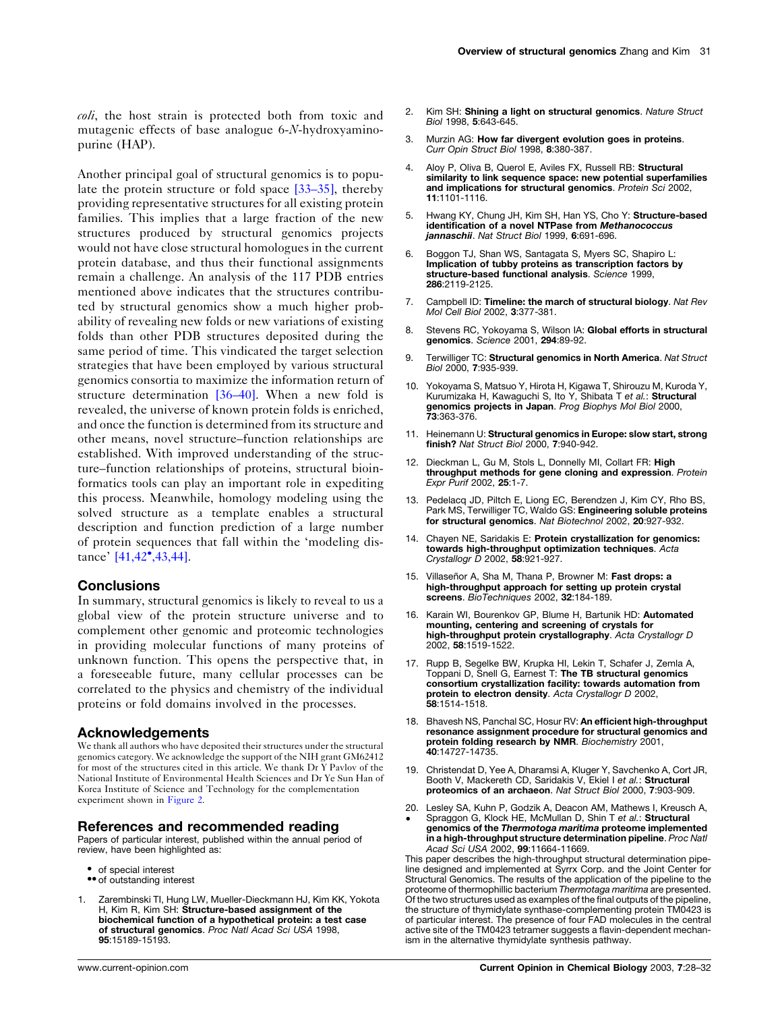<span id="page-3-0"></span>coli, the host strain is protected both from toxic and mutagenic effects of base analogue 6-N-hydroxyaminopurine (HAP).

Another principal goal of structural genomics is to populate the protein structure or fold space  $[33-35]$ , thereby providing representative structures for all existing protein families. This implies that a large fraction of the new structures produced by structural genomics projects would not have close structural homologues in the current protein database, and thus their functional assignments remain a challenge. An analysis of the 117 PDB entries mentioned above indicates that the structures contributed by structural genomics show a much higher probability of revealing new folds or new variations of existing folds than other PDB structures deposited during the same period of time. This vindicated the target selection strategies that have been employed by various structural genomics consortia to maximize the information return of structure determination  $[36-40]$ . When a new fold is revealed, the universe of known protein folds is enriched, and once the function is determined from its structure and other means, novel structure–function relationships are established. With improved understanding of the structure–function relationships of proteins, structural bioinformatics tools can play an important role in expediting this process. Meanwhile, homology modeling using the solved structure as a template enables a structural description and function prediction of a large number of protein sequences that fall within the 'modeling distance'  $[41, 42^{\bullet}, 43, 44]$ .

# **Conclusions**

In summary, structural genomics is likely to reveal to us a global view of the protein structure universe and to complement other genomic and proteomic technologies in providing molecular functions of many proteins of unknown function. This opens the perspective that, in a foreseeable future, many cellular processes can be correlated to the physics and chemistry of the individual proteins or fold domains involved in the processes.

# **Acknowledgements**

We thank all authors who have deposited their structures under the structural genomics category. We acknowledge the support of the NIH grant GM62412 for most of the structures cited in this article. We thank Dr Y Pavlov of the National Institute of Environmental Health Sciences and Dr Ye Sun Han of Korea Institute of Science and Technology for the complementation experiment shown in Figure 2.

## References and recommended reading

Papers of particular interest, published within the annual period of review, have been highlighted as:

- of special interest
- •• of outstanding interest
- Zarembinski TI, Hung LW, Mueller-Dieckmann HJ, Kim KK, Yokota 1. H, Kim R, Kim SH: Structure-based assignment of the biochemical function of a hypothetical protein: a test case of structural genomics. Proc Natl Acad Sci USA 1998, 95:15189-15193.
- $2<sup>1</sup>$ Kim SH: Shining a light on structural genomics. Nature Struct Biol 1998, 5:643-645.
- 3. Murzin AG: How far divergent evolution goes in proteins. Curr Opin Struct Biol 1998, 8:380-387.
- 4. Aloy P, Oliva B, Querol E, Aviles FX, Russell RB: Structural similarity to link sequence space: new potential superfamilies and implications for structural genomics. Protein Sci 2002, 11:1101-1116.
- Hwang KY, Chung JH, Kim SH, Han YS, Cho Y: Structure-based  $5<sub>1</sub>$ identification of a novel NTPase from Methanococcus jannaschii. Nat Struct Biol 1999, 6:691-696.
- Boaaon TJ, Shan WS, Santagata S, Myers SC, Shapiro L:  $6^{\circ}$ Implication of tubly proteins as transcription factors by<br>structure-based functional analysis. Science 1999, 286:2119-2125
- Campbell ID: Timeline: the march of structural biology. Nat Rev Mol Cell Biol 2002, 3:377-381.
- Stevens RC, Yokoyama S, Wilson IA: Global efforts in structural genomics. Science 2001, 294:89-92.
- Terwilliger TC: Structural genomics in North America. Nat Struct  $\mathbf{Q}$ Biol 2000. 7:935-939.
- 10. Yokoyama S, Matsuo Y, Hirota H, Kigawa T, Shirouzu M, Kuroda Y, Kurumizaka H, Kawaquchi S, Ito Y, Shibata T et al.: Structural genomics projects in Japan. Prog Biophys Mol Biol 2000,<br>73:363-376.
- 11. Heinemann U: Structural genomics in Europe: slow start, strong finish? Nat Struct Biol 2000, 7:940-942.
- 12. Dieckman L. Gu M. Stols L. Donnelly MI. Collart FR: High throughput methods for gene cloning and expression. Protein Expr Purif 2002, 25:1-7.
- 13. Pedelacq JD, Piltch E, Liong EC, Berendzen J, Kim CY, Rho BS, Park MS, Terwilliger TC, Waldo GS: Engineering soluble proteins for structural genomics. Nat Biotechnol 2002, 20:927-932.
- 14. Chayen NE, Saridakis E: Protein crystallization for genomics: towards high-throughput optimization techniques. Acta Crystallogr D 2002, 58:921-927.
- 15. Villaseñor A, Sha M, Thana P, Browner M: Fast drops: a high-throughput approach for setting up protein crystal screens. BioTechniques 2002, 32:184-189
- 16. Karain WI, Bourenkov GP, Blume H, Bartunik HD: Automated mounting, centering and screening of crystals for high-throughput protein crystallography. Acta Crystallogr D 2002. 58:1519-1522.
- 17. Rupp B, Segelke BW, Krupka HI, Lekin T, Schafer J, Zemla A, Toppani D, Snell G, Earnest T: The TB structural genomics consortium crystallization facility: towards automation from protein to electron density. Acta Crystallogr D 2002, 58:1514-1518.
- 18. Bhavesh NS, Panchal SC, Hosur RV: An efficient high-throughput resonance assignment procedure for structural genomics and protein folding research by NMR. Biochemistry 2001, 40:14727-14735.
- 19. Christendat D. Yee A. Dharamsi A. Kluger Y. Savchenko A. Cort JR. Booth V, Mackereth CD, Saridakis V, Ekiel I et al.: Structural proteomics of an archaeon. Nat Struct Biol 2000, 7:903-909.
- 20. Lesley SA, Kuhn P, Godzik A, Deacon AM, Mathews I, Kreusch A,
- Spraggon G, Klock HE, McMullan D, Shin T et al.: Structural genomics of the Thermotoga maritima proteome implemented in a high-throughput structure determination pipeline. Proc Natl Acad Sci USA 2002, 99:11664-11669.

This paper describes the high-throughput structural determination pipeline designed and implemented at Syrrx Corp. and the Joint Center for Structural Genomics. The results of the application of the pipeline to the proteome of thermophillic bacterium Thermotaga maritima are presented. Of the two structures used as examples of the final outputs of the pipeline, the structure of thymidylate synthase-complementing protein TM0423 is of particular interest. The presence of four FAD molecules in the central active site of the TM0423 tetramer suggests a flavin-dependent mechanism in the alternative thymidylate synthesis pathway.